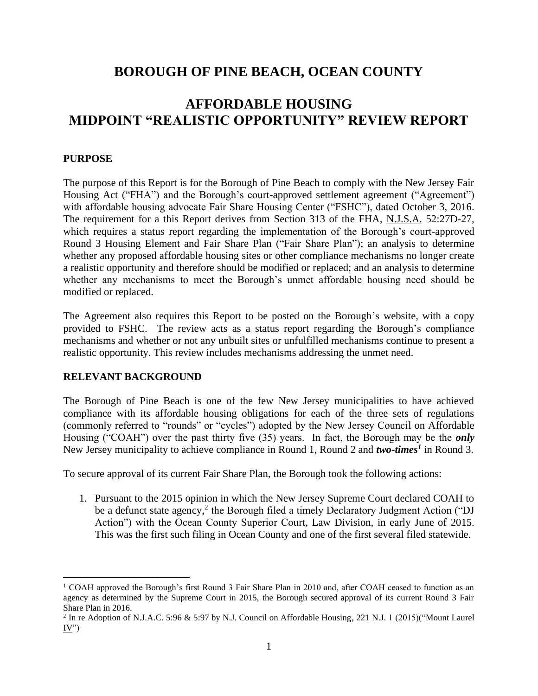# **BOROUGH OF PINE BEACH, OCEAN COUNTY**

# **AFFORDABLE HOUSING MIDPOINT "REALISTIC OPPORTUNITY" REVIEW REPORT**

#### **PURPOSE**

The purpose of this Report is for the Borough of Pine Beach to comply with the New Jersey Fair Housing Act ("FHA") and the Borough's court-approved settlement agreement ("Agreement") with affordable housing advocate Fair Share Housing Center ("FSHC"), dated October 3, 2016. The requirement for a this Report derives from Section 313 of the FHA, N.J.S.A. 52:27D-27, which requires a status report regarding the implementation of the Borough's court-approved Round 3 Housing Element and Fair Share Plan ("Fair Share Plan"); an analysis to determine whether any proposed affordable housing sites or other compliance mechanisms no longer create a realistic opportunity and therefore should be modified or replaced; and an analysis to determine whether any mechanisms to meet the Borough's unmet affordable housing need should be modified or replaced.

The Agreement also requires this Report to be posted on the Borough's website, with a copy provided to FSHC. The review acts as a status report regarding the Borough's compliance mechanisms and whether or not any unbuilt sites or unfulfilled mechanisms continue to present a realistic opportunity. This review includes mechanisms addressing the unmet need.

#### **RELEVANT BACKGROUND**

The Borough of Pine Beach is one of the few New Jersey municipalities to have achieved compliance with its affordable housing obligations for each of the three sets of regulations (commonly referred to "rounds" or "cycles") adopted by the New Jersey Council on Affordable Housing ("COAH") over the past thirty five (35) years. In fact, the Borough may be the *only* New Jersey municipality to achieve compliance in Round 1, Round 2 and *two-times<sup>1</sup>* in Round 3.

To secure approval of its current Fair Share Plan, the Borough took the following actions:

1. Pursuant to the 2015 opinion in which the New Jersey Supreme Court declared COAH to be a defunct state agency,<sup>2</sup> the Borough filed a timely Declaratory Judgment Action ("DJ Action") with the Ocean County Superior Court, Law Division, in early June of 2015. This was the first such filing in Ocean County and one of the first several filed statewide.

<sup>&</sup>lt;sup>1</sup> COAH approved the Borough's first Round 3 Fair Share Plan in 2010 and, after COAH ceased to function as an agency as determined by the Supreme Court in 2015, the Borough secured approval of its current Round 3 Fair Share Plan in 2016.

<sup>&</sup>lt;sup>2</sup> In re Adoption of N.J.A.C. 5:96 & 5:97 by N.J. Council on Affordable Housing, 221 N.J. 1 (2015)("Mount Laurel"  $\underline{IV}$ ")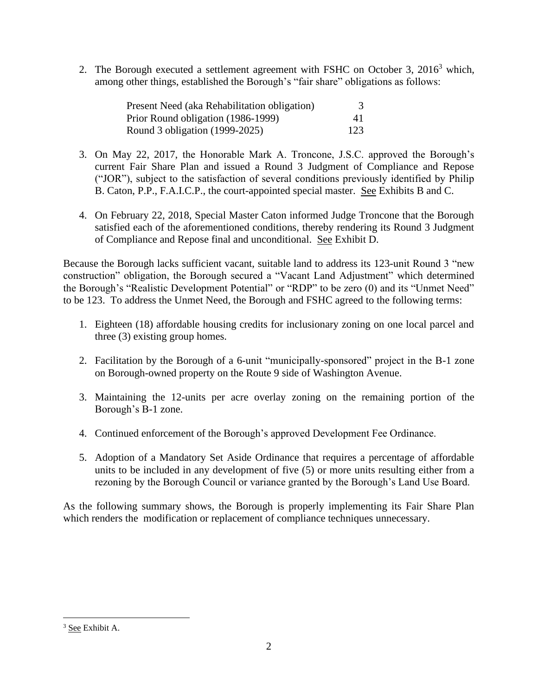2. The Borough executed a settlement agreement with FSHC on October 3, 2016<sup>3</sup> which, among other things, established the Borough's "fair share" obligations as follows:

| Present Need (aka Rehabilitation obligation) |     |
|----------------------------------------------|-----|
| Prior Round obligation (1986-1999)           | 41  |
| Round 3 obligation (1999-2025)               | 123 |

- 3. On May 22, 2017, the Honorable Mark A. Troncone, J.S.C. approved the Borough's current Fair Share Plan and issued a Round 3 Judgment of Compliance and Repose ("JOR"), subject to the satisfaction of several conditions previously identified by Philip B. Caton, P.P., F.A.I.C.P., the court-appointed special master. See Exhibits B and C.
- 4. On February 22, 2018, Special Master Caton informed Judge Troncone that the Borough satisfied each of the aforementioned conditions, thereby rendering its Round 3 Judgment of Compliance and Repose final and unconditional. See Exhibit D.

Because the Borough lacks sufficient vacant, suitable land to address its 123-unit Round 3 "new construction" obligation, the Borough secured a "Vacant Land Adjustment" which determined the Borough's "Realistic Development Potential" or "RDP" to be zero (0) and its "Unmet Need" to be 123. To address the Unmet Need, the Borough and FSHC agreed to the following terms:

- 1. Eighteen (18) affordable housing credits for inclusionary zoning on one local parcel and three (3) existing group homes.
- 2. Facilitation by the Borough of a 6-unit "municipally-sponsored" project in the B-1 zone on Borough-owned property on the Route 9 side of Washington Avenue.
- 3. Maintaining the 12-units per acre overlay zoning on the remaining portion of the Borough's B-1 zone.
- 4. Continued enforcement of the Borough's approved Development Fee Ordinance.
- 5. Adoption of a Mandatory Set Aside Ordinance that requires a percentage of affordable units to be included in any development of five (5) or more units resulting either from a rezoning by the Borough Council or variance granted by the Borough's Land Use Board.

As the following summary shows, the Borough is properly implementing its Fair Share Plan which renders the modification or replacement of compliance techniques unnecessary.

<sup>&</sup>lt;sup>3</sup> See Exhibit A.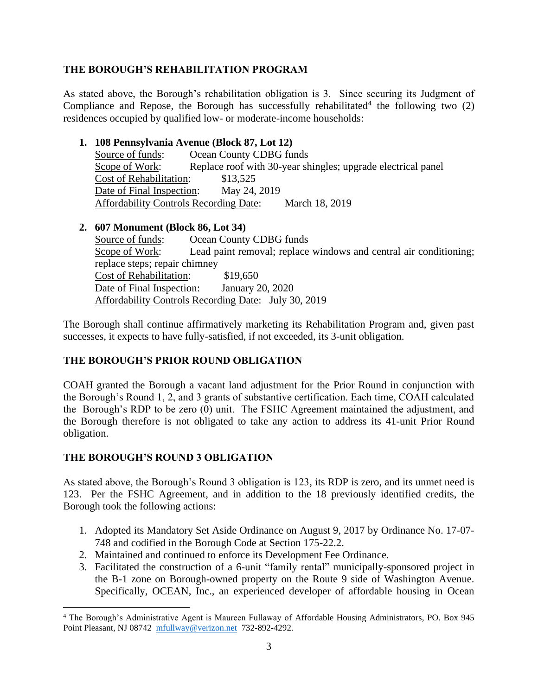#### **THE BOROUGH'S REHABILITATION PROGRAM**

As stated above, the Borough's rehabilitation obligation is 3. Since securing its Judgment of Compliance and Repose, the Borough has successfully rehabilitated<sup>4</sup> the following two  $(2)$ residences occupied by qualified low- or moderate-income households:

#### **1. 108 Pennsylvania Avenue (Block 87, Lot 12)** Source of funds: Ocean County CDBG funds Scope of Work: Replace roof with 30-year shingles; upgrade electrical panel Cost of Rehabilitation: \$13,525 Date of Final Inspection: May 24, 2019 Affordability Controls Recording Date: March 18, 2019

## **2. 607 Monument (Block 86, Lot 34)**

Source of funds: Ocean County CDBG funds Scope of Work: Lead paint removal; replace windows and central air conditioning; replace steps; repair chimney Cost of Rehabilitation: \$19,650 Date of Final Inspection: January 20, 2020 Affordability Controls Recording Date: July 30, 2019

The Borough shall continue affirmatively marketing its Rehabilitation Program and, given past successes, it expects to have fully-satisfied, if not exceeded, its 3-unit obligation.

## **THE BOROUGH'S PRIOR ROUND OBLIGATION**

COAH granted the Borough a vacant land adjustment for the Prior Round in conjunction with the Borough's Round 1, 2, and 3 grants of substantive certification. Each time, COAH calculated the Borough's RDP to be zero (0) unit. The FSHC Agreement maintained the adjustment, and the Borough therefore is not obligated to take any action to address its 41-unit Prior Round obligation.

## **THE BOROUGH'S ROUND 3 OBLIGATION**

As stated above, the Borough's Round 3 obligation is 123, its RDP is zero, and its unmet need is 123. Per the FSHC Agreement, and in addition to the 18 previously identified credits, the Borough took the following actions:

- 1. Adopted its Mandatory Set Aside Ordinance on August 9, 2017 by Ordinance No. 17-07- 748 and codified in the Borough Code at Section 175-22.2.
- 2. Maintained and continued to enforce its Development Fee Ordinance.
- 3. Facilitated the construction of a 6-unit "family rental" municipally-sponsored project in the B-1 zone on Borough-owned property on the Route 9 side of Washington Avenue. Specifically, OCEAN, Inc., an experienced developer of affordable housing in Ocean

<sup>4</sup> The Borough's Administrative Agent is Maureen Fullaway of Affordable Housing Administrators, PO. Box 945 Point Pleasant, NJ 08742 [mfullway@verizon.net](mailto:mfullway@verizon.net) 732-892-4292.